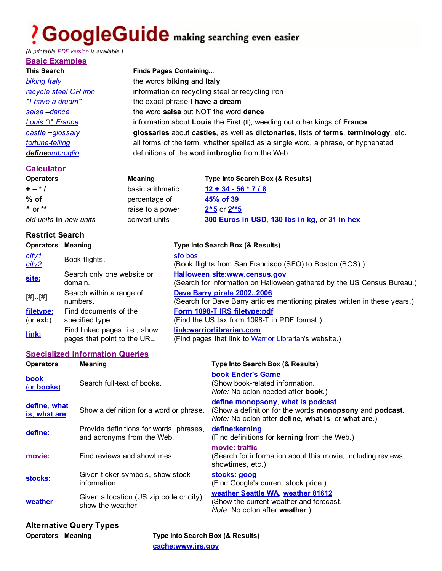# ? GoogleGuide making searching even easier

*(A printable PDF version is available.)*

| <b>Basic Examples</b> |                                                                                     |
|-----------------------|-------------------------------------------------------------------------------------|
| <b>This Search</b>    | <b>Finds Pages Containing</b>                                                       |
| <b>biking Italy</b>   | the words biking and Italy                                                          |
| recycle steel OR iron | information on recycling steel or recycling iron                                    |
| "I have a dream"      | the exact phrase I have a dream                                                     |
| salsa - dance         | the word salsa but NOT the word dance                                               |
| Louis "I" France      | information about Louis the First (I), weeding out other kings of France            |
| $castle$ ~glossary    | glossaries about castles, as well as dictonaries, lists of terms, terminology, etc. |
| fortune-telling       | all forms of the term, whether spelled as a single word, a phrase, or hyphenated    |
| define:imbroglio      | definitions of the word <b>imbroglio</b> from the Web                               |

### **Calculator**

| <b>Operators</b>       | Meaning          | Type Into Search Box (& Results)              |
|------------------------|------------------|-----------------------------------------------|
| $+ - 1$                | basic arithmetic | $12 + 34 - 56 * 7 / 8$                        |
| $%$ of                 | percentage of    | 45% of 39                                     |
| $\Lambda$ or $**$      | raise to a power | $2^{\wedge}5$ or $2^{**}5$                    |
| old units in new units | convert units    | 300 Euros in USD, 130 lbs in kg, or 31 in hex |

#### **Restrict Search**

| <b>Operators</b>       | Meaning                                                       | <b>Type Into Search Box (&amp; Results)</b>                                                                     |
|------------------------|---------------------------------------------------------------|-----------------------------------------------------------------------------------------------------------------|
| city1<br>city2         | Book flights.                                                 | sfo bos<br>(Book flights from San Francisco (SFO) to Boston (BOS).)                                             |
| site:                  | Search only one website or<br>domain.                         | <b>Halloween site:www.census.gov</b><br>(Search for information on Halloween gathered by the US Census Bureau.) |
| [#].[#]                | Search within a range of<br>numbers.                          | Dave Barry pirate 20022006<br>(Search for Dave Barry articles mentioning pirates written in these years.)       |
| filetype:<br>(or ext:) | Find documents of the<br>specified type.                      | Form 1098-T IRS filetype:pdf<br>(Find the US tax form 1098-T in PDF format.)                                    |
| link:                  | Find linked pages, i.e., show<br>pages that point to the URL. | link:warriorlibrarian.com<br>(Find pages that link to Warrior Librarian's website.)                             |

#### **Specialized Information Queries**

| <b>Operators</b>             | <b>Meaning</b>                                                        | <b>Type Into Search Box (&amp; Results)</b>                                                                                                                        |
|------------------------------|-----------------------------------------------------------------------|--------------------------------------------------------------------------------------------------------------------------------------------------------------------|
| book<br>(or books)           | Search full-text of books.                                            | book Ender's Game<br>(Show book-related information.<br>Note: No colon needed after book.)                                                                         |
| define, what<br>is, what are | Show a definition for a word or phrase.                               | define monopsony, what is podcast<br>(Show a definition for the words <b>monopsony</b> and <b>podcast</b> .<br>Note: No colon after define, what is, or what are.) |
| define:                      | Provide definitions for words, phrases,<br>and acronyms from the Web. | define:kerning<br>(Find definitions for kerning from the Web.)                                                                                                     |
| movie:                       | Find reviews and showtimes.                                           | movie: traffic<br>(Search for information about this movie, including reviews,<br>showtimes, etc.)                                                                 |
| stocks:                      | Given ticker symbols, show stock<br>information                       | stocks: goog<br>(Find Google's current stock price.)                                                                                                               |
| weather                      | Given a location (US zip code or city),<br>show the weather           | weather Seattle WA, weather 81612<br>(Show the current weather and forecast.<br><i>Note:</i> No colon after <b>weather</b> .)                                      |

## **Alternative Query Types**

**Operators Meaning Type Into Search Box (& Results) cache:www.irs.gov**